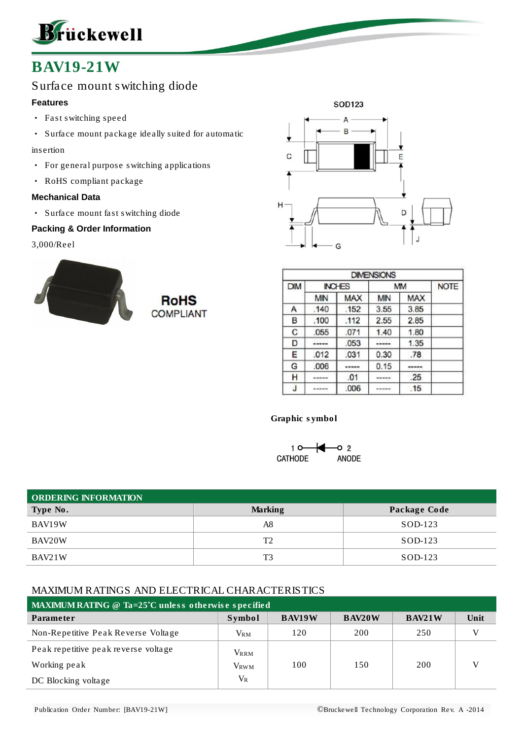

### Surface mount switching diode

#### **Features**

- Fast switching speed
- Surface mount package ideally suited for automatic

#### insertion

- For general purpose switching applications
- RoHS compliant package

#### **Mechanical Data**

• Surface mount fast switching diode

### **Packing & Order Information**

### 3,000/Reel







|            |               |            | <b>DIMENSIONS</b>            |             |  |
|------------|---------------|------------|------------------------------|-------------|--|
| <b>DIM</b> | <b>INCHES</b> |            | MM                           | <b>NOTE</b> |  |
|            | MIN           | <b>MAX</b> | MN                           | <b>MAX</b>  |  |
| A          | .140          | .152       | 3.55                         | 3.85        |  |
| B          | .100          | .112       | 2.55                         | 2.85        |  |
| C          | .055          | .071       | 1.40                         | 1.80        |  |
| D          | -----         | .053       | -----                        | 1.35        |  |
| E          | .012          | .031       | 0.30                         | .78         |  |
| G          | .006          | -----      | 0.15                         | -----       |  |
| н          | -----         | .01        | -----                        | .25         |  |
| J          | -----         | .006       | <b>ART AND AND REAL PART</b> | .15         |  |

Graphic symbol

$$
10 - 402
$$
  
CATHODE ANDDE

| ORDERING INFORMATION |                |              |  |  |  |  |
|----------------------|----------------|--------------|--|--|--|--|
| Type No.             | Marking        | Package Code |  |  |  |  |
| BAV19W               | A8             | $SOD-123$    |  |  |  |  |
| BAV20W               | T <sub>2</sub> | $SOD-123$    |  |  |  |  |
| BAV21W               | T <sub>3</sub> | $SOD-123$    |  |  |  |  |

### MAXIMUM RATINGS AND ELECTRICAL CHARACTERISTICS

| MAXIMUM RATING @ Ta=25°C unless otherwise specified |                  |                     |            |        |      |  |
|-----------------------------------------------------|------------------|---------------------|------------|--------|------|--|
| Parameter                                           | Symbol           | BAV <sub>19</sub> W | BAV20W     | BAV21W | Unit |  |
| Non-Repetitive Peak Reverse Voltage                 | $\rm V_{RM}$     | 120                 | <b>200</b> | 250    |      |  |
| Peak repetitive peak reverse voltage                | $V_{\rm RRM}$    |                     |            |        |      |  |
| Working peak                                        | V <sub>rwm</sub> | 100                 | 150        | 200    |      |  |
| DC Blocking voltage                                 | $V_{R}$          |                     |            |        |      |  |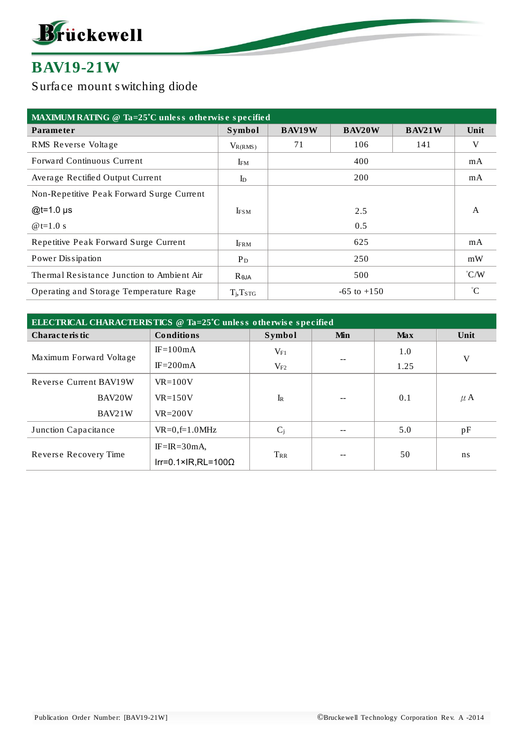

## Surface mount switching diode

| MAXIMUM RATING @ Ta= $25^{\circ}$ C unless otherwise specified |                           |        |                 |        |               |  |
|----------------------------------------------------------------|---------------------------|--------|-----------------|--------|---------------|--|
| Parameter                                                      | Symbol                    | BAV19W | BAV20W          | BAV21W | Unit          |  |
| RMS Reverse Voltage                                            | $V_{R(RMS)}$              | 71     | 106             | 141    | V             |  |
| Forward Continuous Current                                     | $I_{FM}$                  | 400    |                 | mA     |               |  |
| Average Rectified Output Current                               | $\mathbf{I}_{\mathrm{D}}$ | 200    |                 |        | mA            |  |
| Non-Repetitive Peak Forward Surge Current                      |                           |        |                 |        |               |  |
| $@t=1.0$ µs                                                    | <b>IFSM</b>               |        | 2.5             |        | A             |  |
| @ t=1.0 s                                                      |                           |        | 0.5             |        |               |  |
| Repetitive Peak Forward Surge Current                          | <b>IFRM</b>               |        | 625             |        | mA            |  |
| Power Dissipation                                              | $P_D$                     |        | 250             |        | mW            |  |
| Thermal Resistance Junction to Ambient Air                     | $R_{\theta$ JA            |        | 500             |        | $\degree$ C/W |  |
| Operating and Storage Temperature Rage                         | $T_i, T_{STG}$            |        | $-65$ to $+150$ |        | $^{\circ}C$   |  |

| ELECTRICAL CHARACTERISTICS @ Ta=25°C unless otherwise specified |                             |          |       |      |         |  |  |
|-----------------------------------------------------------------|-----------------------------|----------|-------|------|---------|--|--|
| Characteristic                                                  | Conditions                  | Symbol   | Min   | Max  | Unit    |  |  |
| Maximum Forward Voltage                                         | $IF=100mA$                  | $V_{F1}$ |       | 1.0  | V       |  |  |
|                                                                 | $IF = 200mA$                | $V_{F2}$ | $- -$ | 1.25 |         |  |  |
| Reverse Current BAV19W                                          | $VR=100V$                   |          |       |      |         |  |  |
| BAV20W                                                          | $VR=150V$                   | $I_{R}$  | $- -$ | 0.1  | $\mu$ A |  |  |
| BAV21W                                                          | $VR = 200V$                 |          |       |      |         |  |  |
| Junction Capacitance                                            | $VR=0, f=1.0MHz$            | $C_i$    |       | 5.0  | pF      |  |  |
|                                                                 | $IF=R=30mA,$                |          |       | 50   | ns      |  |  |
| Reverse Recovery Time                                           | Irr=0.1×IR, RL=100 $\Omega$ | $T_{RR}$ |       |      |         |  |  |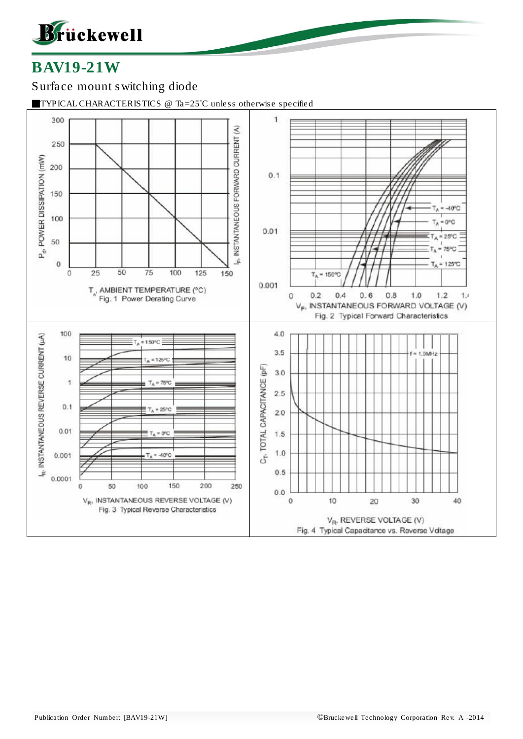

### Surface mount switching diode

**TYPICAL CHARACTERISTICS**  $\omega$  Ta=25°C unless otherwise specified